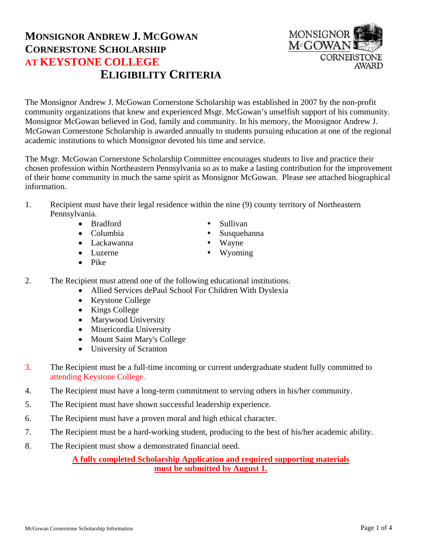## **MONSIGNOR ANDREW J. MCGOWAN CORNERSTONE SCHOLARSHIP AT KEYSTONE COLLEGE ELIGIBILITY CRITERIA**

The Monsignor Andrew J. McGowan Cornerstone Scholarship was established in 2007 by the non-profit community organizations that knew and experienced Msgr. McGowan's unselfish support of his community. Monsignor McGowan believed in God, family and community. In his memory, the Monsignor Andrew J. McGowan Cornerstone Scholarship is awarded annually to students pursuing education at one of the regional academic institutions to which Monsignor devoted his time and service.

The Msgr. McGowan Cornerstone Scholarship Committee encourages students to live and practice their chosen profession within Northeastern Pennsylvania so as to make a lasting contribution for the improvement of their home community in much the same spirit as Monsignor McGowan. Please see attached biographical information.

- 1. Recipient must have their legal residence within the nine (9) county territory of Northeastern Pennsylvania.
	- Bradford Sullivan
	-
	- Lackawanna Wayne
	-
	- $\bullet$  Pike
- 2. The Recipient must attend one of the following educational institutions.
	- Allied Services dePaul School For Children With Dyslexia
		- Keystone College
		- Kings College
		- Marywood University
		- Misericordia University
		- Mount Saint Mary's College
		- University of Scranton
- 3. The Recipient must be a full-time incoming or current undergraduate student fully committed to attending Keystone College.
- 4. The Recipient must have a long-term commitment to serving others in his/her community.
- 5. The Recipient must have shown successful leadership experience.
- 6. The Recipient must have a proven moral and high ethical character.
- 7. The Recipient must be a hard-working student, producing to the best of his/her academic ability.
- 8. The Recipient must show a demonstrated financial need.

**A fully completed Scholarship Application and required supporting materials must be submitted by August 1.**



- 
- Columbia Susquehanna
	-
	-
- -
- Luzerne Wyoming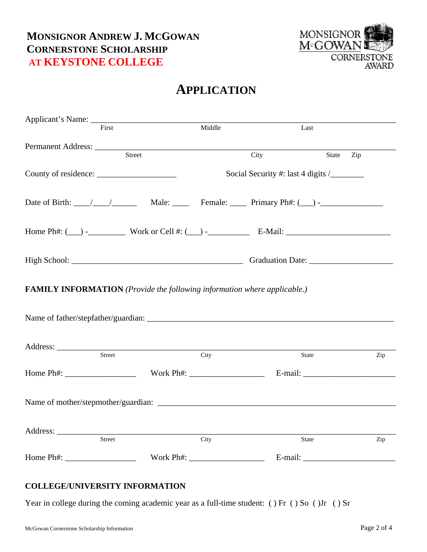

# **APPLICATION**

|                                                                                 | First                                                                                               | Middle | Last  |       |     |  |
|---------------------------------------------------------------------------------|-----------------------------------------------------------------------------------------------------|--------|-------|-------|-----|--|
|                                                                                 |                                                                                                     |        | City  | State | Zip |  |
|                                                                                 |                                                                                                     |        |       |       |     |  |
|                                                                                 | Date of Birth: $\angle$ / $\angle$ Male: $\angle$ Female: $\angle$ Primary Ph#: $\angle$ - $\angle$ |        |       |       |     |  |
|                                                                                 |                                                                                                     |        |       |       |     |  |
|                                                                                 |                                                                                                     |        |       |       |     |  |
| <b>FAMILY INFORMATION</b> (Provide the following information where applicable.) |                                                                                                     |        |       |       |     |  |
|                                                                                 |                                                                                                     |        |       |       |     |  |
|                                                                                 | Street                                                                                              | City   | State |       | Zip |  |
|                                                                                 |                                                                                                     |        |       |       |     |  |
|                                                                                 |                                                                                                     |        |       |       |     |  |
|                                                                                 | Street                                                                                              | City   | State |       | Zip |  |
|                                                                                 | Home Ph#: Work Ph#: E-mail:                                                                         |        |       |       |     |  |

#### **COLLEGE/UNIVERSITY INFORMATION**

Year in college during the coming academic year as a full-time student: () Fr () So () Jr () Sr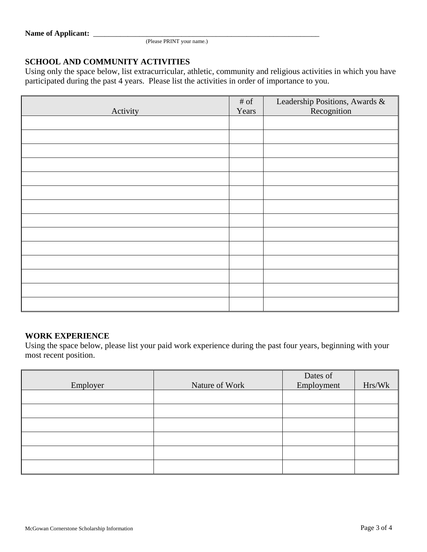(Please PRINT your name.)

#### **SCHOOL AND COMMUNITY ACTIVITIES**

Using only the space below, list extracurricular, athletic, community and religious activities in which you have participated during the past 4 years. Please list the activities in order of importance to you.

| Activity | $\#$ of<br>Years | Leadership Positions, Awards &<br>Recognition |
|----------|------------------|-----------------------------------------------|
|          |                  |                                               |
|          |                  |                                               |
|          |                  |                                               |
|          |                  |                                               |
|          |                  |                                               |
|          |                  |                                               |
|          |                  |                                               |
|          |                  |                                               |
|          |                  |                                               |
|          |                  |                                               |
|          |                  |                                               |
|          |                  |                                               |
|          |                  |                                               |
|          |                  |                                               |

#### **WORK EXPERIENCE**

Using the space below, please list your paid work experience during the past four years, beginning with your most recent position.

| Employer | Nature of Work | Dates of<br>Employment | Hrs/Wk |
|----------|----------------|------------------------|--------|
|          |                |                        |        |
|          |                |                        |        |
|          |                |                        |        |
|          |                |                        |        |
|          |                |                        |        |
|          |                |                        |        |